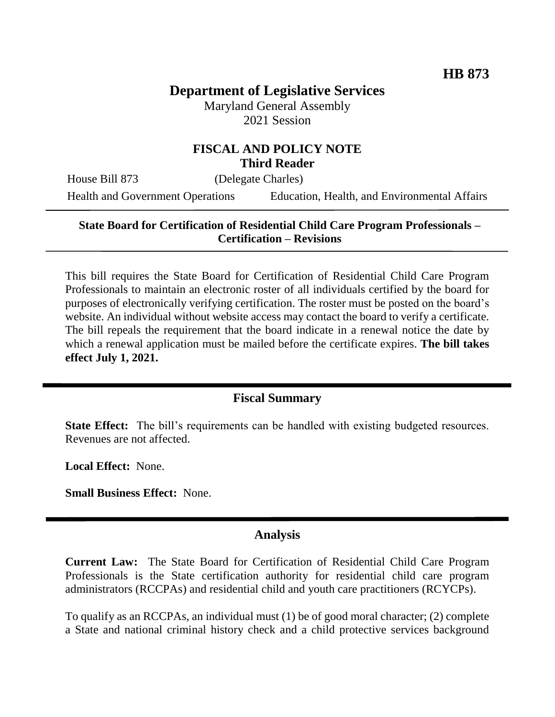# **Department of Legislative Services**

Maryland General Assembly 2021 Session

### **FISCAL AND POLICY NOTE Third Reader**

House Bill 873 (Delegate Charles)

Health and Government Operations Education, Health, and Environmental Affairs

### **State Board for Certification of Residential Child Care Program Professionals – Certification – Revisions**

This bill requires the State Board for Certification of Residential Child Care Program Professionals to maintain an electronic roster of all individuals certified by the board for purposes of electronically verifying certification. The roster must be posted on the board's website. An individual without website access may contact the board to verify a certificate. The bill repeals the requirement that the board indicate in a renewal notice the date by which a renewal application must be mailed before the certificate expires. **The bill takes effect July 1, 2021.**

## **Fiscal Summary**

**State Effect:** The bill's requirements can be handled with existing budgeted resources. Revenues are not affected.

**Local Effect:** None.

**Small Business Effect:** None.

#### **Analysis**

**Current Law:** The State Board for Certification of Residential Child Care Program Professionals is the State certification authority for residential child care program administrators (RCCPAs) and residential child and youth care practitioners (RCYCPs).

To qualify as an RCCPAs, an individual must (1) be of good moral character; (2) complete a State and national criminal history check and a child protective services background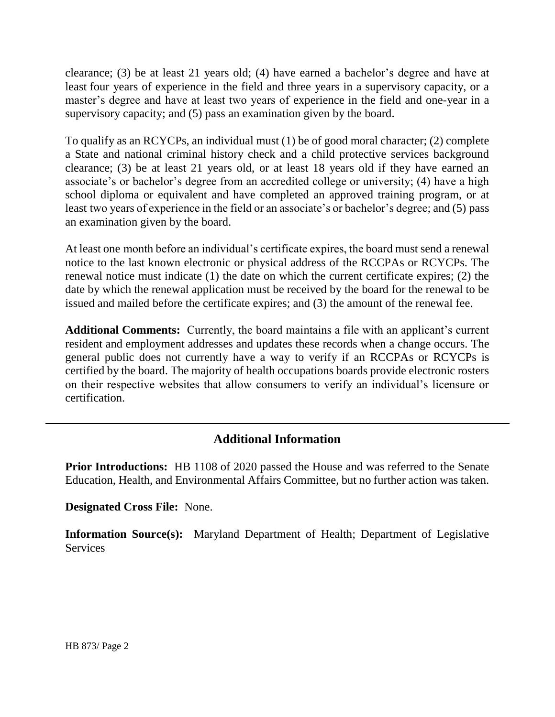clearance; (3) be at least 21 years old; (4) have earned a bachelor's degree and have at least four years of experience in the field and three years in a supervisory capacity, or a master's degree and have at least two years of experience in the field and one-year in a supervisory capacity; and (5) pass an examination given by the board.

To qualify as an RCYCPs, an individual must (1) be of good moral character; (2) complete a State and national criminal history check and a child protective services background clearance; (3) be at least 21 years old, or at least 18 years old if they have earned an associate's or bachelor's degree from an accredited college or university; (4) have a high school diploma or equivalent and have completed an approved training program, or at least two years of experience in the field or an associate's or bachelor's degree; and (5) pass an examination given by the board.

At least one month before an individual's certificate expires, the board must send a renewal notice to the last known electronic or physical address of the RCCPAs or RCYCPs. The renewal notice must indicate (1) the date on which the current certificate expires; (2) the date by which the renewal application must be received by the board for the renewal to be issued and mailed before the certificate expires; and (3) the amount of the renewal fee.

**Additional Comments:** Currently, the board maintains a file with an applicant's current resident and employment addresses and updates these records when a change occurs. The general public does not currently have a way to verify if an RCCPAs or RCYCPs is certified by the board. The majority of health occupations boards provide electronic rosters on their respective websites that allow consumers to verify an individual's licensure or certification.

# **Additional Information**

**Prior Introductions:** HB 1108 of 2020 passed the House and was referred to the Senate Education, Health, and Environmental Affairs Committee, but no further action was taken.

**Designated Cross File:** None.

**Information Source(s):** Maryland Department of Health; Department of Legislative **Services**